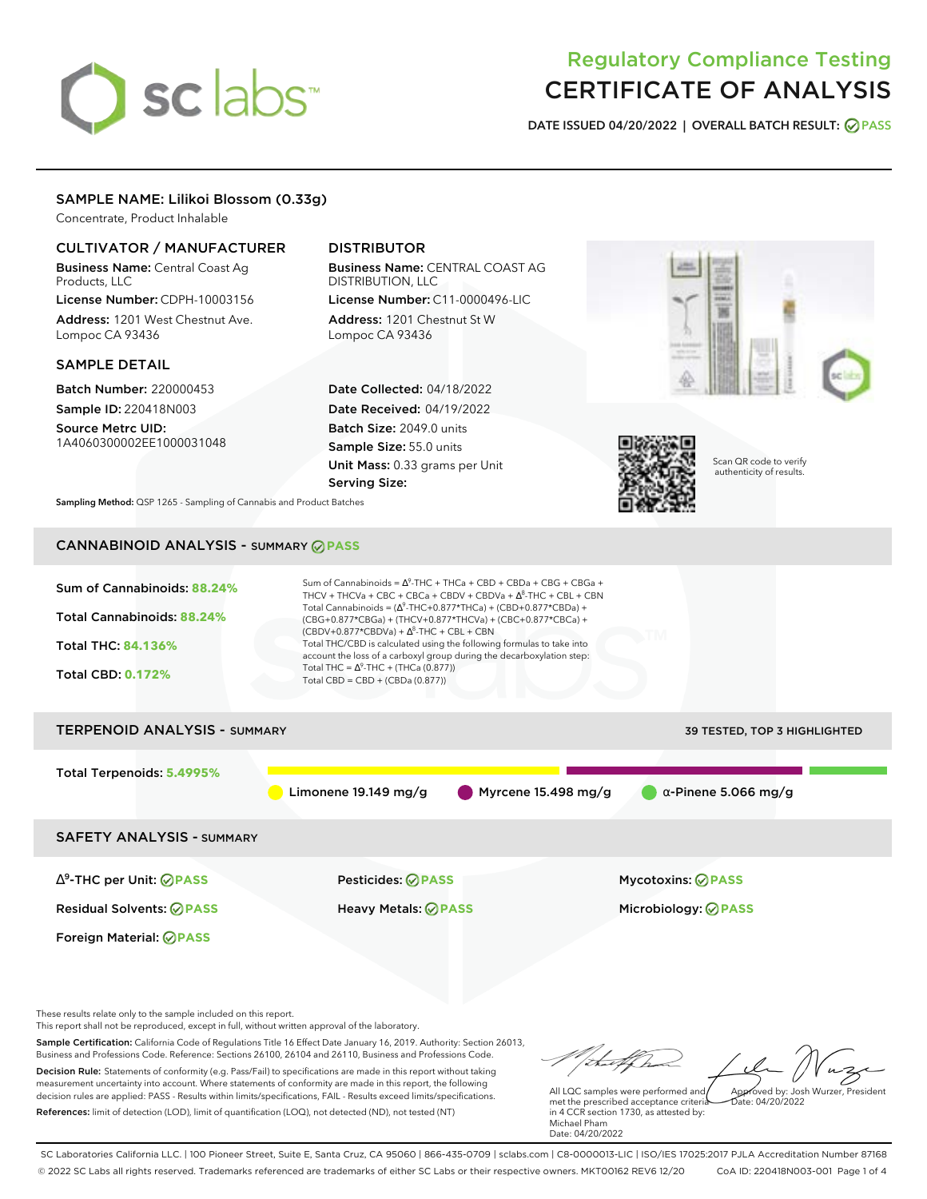# sclabs<sup>\*</sup>

# Regulatory Compliance Testing CERTIFICATE OF ANALYSIS

**DATE ISSUED 04/20/2022 | OVERALL BATCH RESULT: PASS**

### SAMPLE NAME: Lilikoi Blossom (0.33g)

Concentrate, Product Inhalable

### CULTIVATOR / MANUFACTURER

Business Name: Central Coast Ag Products, LLC

License Number: CDPH-10003156 Address: 1201 West Chestnut Ave. Lompoc CA 93436

#### SAMPLE DETAIL

Batch Number: 220000453 Sample ID: 220418N003

Source Metrc UID: 1A4060300002EE1000031048

## DISTRIBUTOR

Business Name: CENTRAL COAST AG DISTRIBUTION, LLC License Number: C11-0000496-LIC

Address: 1201 Chestnut St W Lompoc CA 93436

Date Collected: 04/18/2022 Date Received: 04/19/2022 Batch Size: 2049.0 units Sample Size: 55.0 units Unit Mass: 0.33 grams per Unit Serving Size:





Scan QR code to verify authenticity of results.

**Sampling Method:** QSP 1265 - Sampling of Cannabis and Product Batches

# CANNABINOID ANALYSIS - SUMMARY **PASS**

| Sum of Cannabinoids: 88.24%<br>Total Cannabinoids: 88.24%<br><b>Total THC: 84.136%</b><br><b>Total CBD: 0.172%</b> | Sum of Cannabinoids = $\Delta^9$ -THC + THCa + CBD + CBDa + CBG + CBGa +<br>THCV + THCVa + CBC + CBCa + CBDV + CBDVa + $\Delta^8$ -THC + CBL + CBN<br>Total Cannabinoids = $(\Delta^9$ -THC+0.877*THCa) + (CBD+0.877*CBDa) +<br>(CBG+0.877*CBGa) + (THCV+0.877*THCVa) + (CBC+0.877*CBCa) +<br>$(CBDV+0.877*CBDVa) + \Delta^8$ -THC + CBL + CBN<br>Total THC/CBD is calculated using the following formulas to take into<br>account the loss of a carboxyl group during the decarboxylation step:<br>Total THC = $\Delta^9$ -THC + (THCa (0.877))<br>Total CBD = $CBD + (CBDa (0.877))$ |                             |  |  |
|--------------------------------------------------------------------------------------------------------------------|----------------------------------------------------------------------------------------------------------------------------------------------------------------------------------------------------------------------------------------------------------------------------------------------------------------------------------------------------------------------------------------------------------------------------------------------------------------------------------------------------------------------------------------------------------------------------------------|-----------------------------|--|--|
| <b>TERPENOID ANALYSIS - SUMMARY</b><br><b>39 TESTED, TOP 3 HIGHLIGHTED</b>                                         |                                                                                                                                                                                                                                                                                                                                                                                                                                                                                                                                                                                        |                             |  |  |
| Total Terpenoids: 5.4995%                                                                                          | Myrcene 15.498 mg/g<br>Limonene 19.149 mg/g                                                                                                                                                                                                                                                                                                                                                                                                                                                                                                                                            | $\alpha$ -Pinene 5.066 mg/g |  |  |
| <b>SAFETY ANALYSIS - SUMMARY</b>                                                                                   |                                                                                                                                                                                                                                                                                                                                                                                                                                                                                                                                                                                        |                             |  |  |
| $\Delta^9$ -THC per Unit: $\oslash$ PASS                                                                           | <b>Pesticides: ⊘ PASS</b>                                                                                                                                                                                                                                                                                                                                                                                                                                                                                                                                                              | <b>Mycotoxins: ⊘PASS</b>    |  |  |

Residual Solvents: **PASS** Heavy Metals: **PASS** Microbiology: **PASS**

These results relate only to the sample included on this report.

Foreign Material: **PASS**

This report shall not be reproduced, except in full, without written approval of the laboratory.

Sample Certification: California Code of Regulations Title 16 Effect Date January 16, 2019. Authority: Section 26013, Business and Professions Code. Reference: Sections 26100, 26104 and 26110, Business and Professions Code. Decision Rule: Statements of conformity (e.g. Pass/Fail) to specifications are made in this report without taking measurement uncertainty into account. Where statements of conformity are made in this report, the following decision rules are applied: PASS - Results within limits/specifications, FAIL - Results exceed limits/specifications.

References: limit of detection (LOD), limit of quantification (LOQ), not detected (ND), not tested (NT)

 $hat: 04/20/2022$ 

All LQC samples were performed and met the prescribed acceptance criteria in 4 CCR section 1730, as attested by: Michael Pham Date: 04/20/2022

SC Laboratories California LLC. | 100 Pioneer Street, Suite E, Santa Cruz, CA 95060 | 866-435-0709 | sclabs.com | C8-0000013-LIC | ISO/IES 17025:2017 PJLA Accreditation Number 87168 © 2022 SC Labs all rights reserved. Trademarks referenced are trademarks of either SC Labs or their respective owners. MKT00162 REV6 12/20 CoA ID: 220418N003-001 Page 1 of 4

tu of h Approved by: Josh Wurzer, President